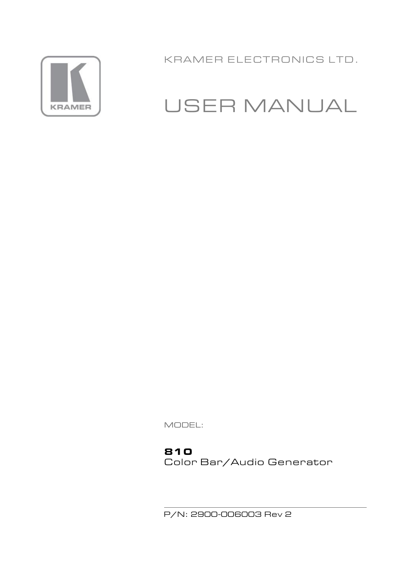

KRAMER ELECTRONICS LTD.

# USER MANUAL

MODEL:

#### **810**

Color Bar/Audio Generator

P/N: 2900-006003 Rev 2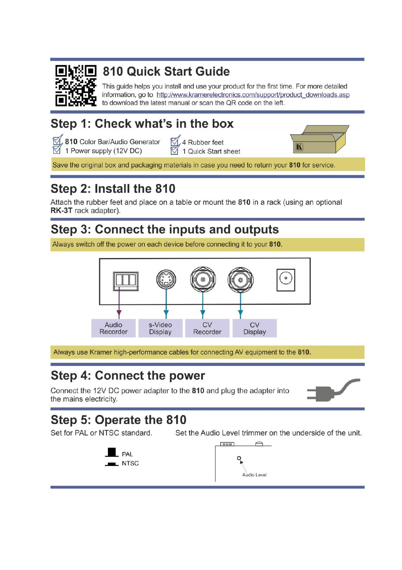

## 810 Quick Start Guide

This guide helps you install and use your product for the first time. For more detailed information, go to http://www.kramerelectronics.com/support/product\_downloads.asp to download the latest manual or scan the QR code on the left.

## Step 1: Check what's in the box

810 Color Bar/Audio Generator 1 Power supply (12V DC)

M<sub>4</sub> Rubber feet 1 Quick Start sheet



Save the original box and packaging materials in case you need to return your 810 for service.

## Step 2: Install the 810

Attach the rubber feet and place on a table or mount the 810 in a rack (using an optional RK-3T rack adapter).

## Step 3: Connect the inputs and outputs

Always switch off the power on each device before connecting it to your 810.



Always use Kramer high-performance cables for connecting AV equipment to the 810.

### **Step 4: Connect the power**

Connect the 12V DC power adapter to the 810 and plug the adapter into the mains electricity.

### Step 5: Operate the 810

Set for PAL or NTSC standard.

Set the Audio Level trimmer on the underside of the unit.



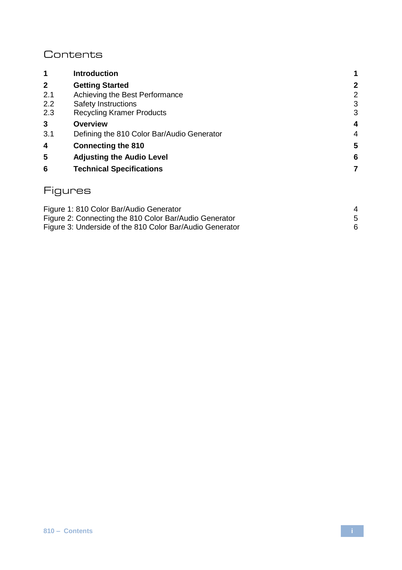#### **Contents**

| 1            | <b>Introduction</b>                        | 1            |
|--------------|--------------------------------------------|--------------|
| $\mathbf{2}$ | <b>Getting Started</b>                     | $\mathbf{2}$ |
| 2.1          | Achieving the Best Performance             | 2            |
| 2.2          | Safety Instructions                        | 3            |
| 2.3          | <b>Recycling Kramer Products</b>           | 3            |
| 3            | Overview                                   | 4            |
| 3.1          | Defining the 810 Color Bar/Audio Generator | 4            |
| 4            | <b>Connecting the 810</b>                  | 5            |
| 5            | <b>Adjusting the Audio Level</b>           | 6            |
| 6            | <b>Technical Specifications</b>            | 7            |
|              |                                            |              |

### Figures

| Figure 1: 810 Color Bar/Audio Generator                  |  |
|----------------------------------------------------------|--|
| Figure 2: Connecting the 810 Color Bar/Audio Generator   |  |
| Figure 3: Underside of the 810 Color Bar/Audio Generator |  |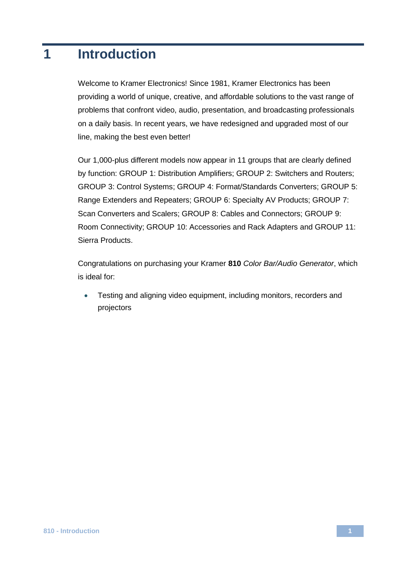### <span id="page-3-0"></span>**1 Introduction**

Welcome to Kramer Electronics! Since 1981, Kramer Electronics has been providing a world of unique, creative, and affordable solutions to the vast range of problems that confront video, audio, presentation, and broadcasting professionals on a daily basis. In recent years, we have redesigned and upgraded most of our line, making the best even better!

Our 1,000-plus different models now appear in 11 groups that are clearly defined by function: GROUP 1: Distribution Amplifiers; GROUP 2: Switchers and Routers; GROUP 3: Control Systems; GROUP 4: Format/Standards Converters; GROUP 5: Range Extenders and Repeaters; GROUP 6: Specialty AV Products; GROUP 7: Scan Converters and Scalers; GROUP 8: Cables and Connectors; GROUP 9: Room Connectivity; GROUP 10: Accessories and Rack Adapters and GROUP 11: Sierra Products.

Congratulations on purchasing your Kramer **810** *Color Bar/Audio Generator*, which is ideal for:

 Testing and aligning video equipment, including monitors, recorders and projectors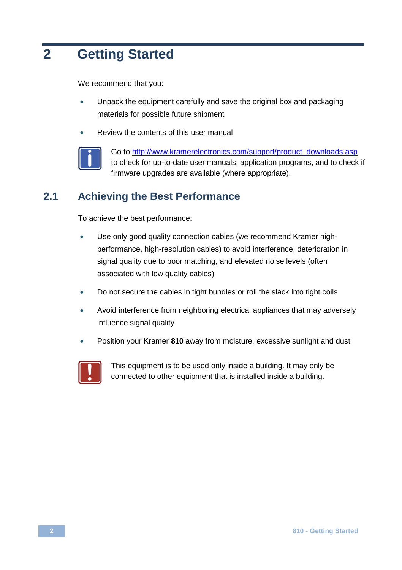## <span id="page-4-0"></span>**2 Getting Started**

We recommend that you:

- Unpack the equipment carefully and save the original box and packaging materials for possible future shipment
- Review the contents of this user manual



Go to [http://www.kramerelectronics.com/support/product\\_downloads.asp](http://www.kramerelectronics.com/support/product_downloads.asp) to check for up-to-date user manuals, application programs, and to check if firmware upgrades are available (where appropriate).

#### <span id="page-4-1"></span>**2.1 Achieving the Best Performance**

To achieve the best performance:

- Use only good quality connection cables (we recommend Kramer highperformance, high-resolution cables) to avoid interference, deterioration in signal quality due to poor matching, and elevated noise levels (often associated with low quality cables)
- Do not secure the cables in tight bundles or roll the slack into tight coils
- Avoid interference from neighboring electrical appliances that may adversely influence signal quality
- Position your Kramer **810** away from moisture, excessive sunlight and dust



This equipment is to be used only inside a building. It may only be connected to other equipment that is installed inside a building.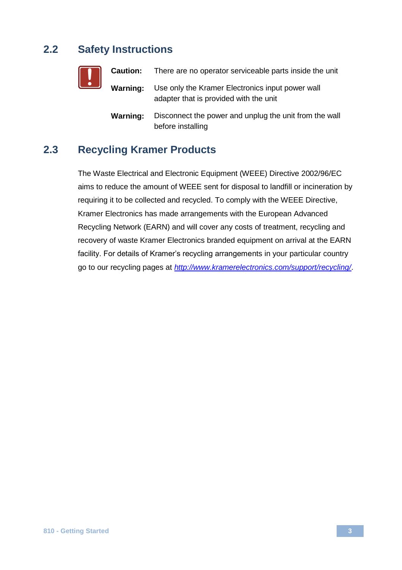### <span id="page-5-0"></span>**2.2 Safety Instructions**

| <u>[</u> |          | <b>Caution:</b> There are no operator serviceable parts inside the unit                    |
|----------|----------|--------------------------------------------------------------------------------------------|
|          | Warning: | Use only the Kramer Electronics input power wall<br>adapter that is provided with the unit |
|          | Warning: | Disconnect the power and unplug the unit from the wall<br>before installing                |

### <span id="page-5-1"></span>**2.3 Recycling Kramer Products**

The Waste Electrical and Electronic Equipment (WEEE) Directive 2002/96/EC aims to reduce the amount of WEEE sent for disposal to landfill or incineration by requiring it to be collected and recycled. To comply with the WEEE Directive, Kramer Electronics has made arrangements with the European Advanced Recycling Network (EARN) and will cover any costs of treatment, recycling and recovery of waste Kramer Electronics branded equipment on arrival at the EARN facility. For details of Kramer's recycling arrangements in your particular country go to our recycling pages at *<http://www.kramerelectronics.com/support/recycling/>*.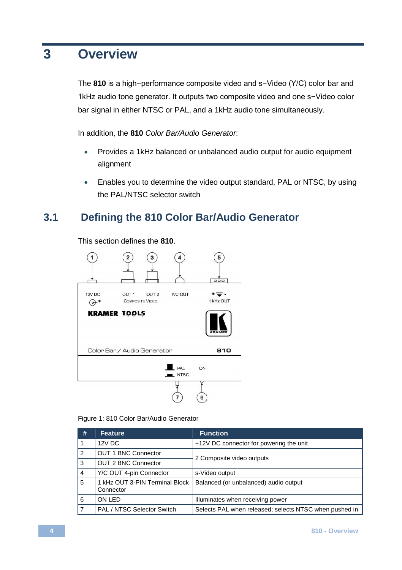### <span id="page-6-0"></span>**3 Overview**

The **810** is a high−performance composite video and s−Video (Y/C) color bar and 1kHz audio tone generator. It outputs two composite video and one s−Video color bar signal in either NTSC or PAL, and a 1kHz audio tone simultaneously.

In addition, the **810** *Color Bar/Audio Generator*:

- Provides a 1kHz balanced or unbalanced audio output for audio equipment alignment
- <span id="page-6-1"></span> Enables you to determine the video output standard, PAL or NTSC, by using the PAL/NTSC selector switch

#### **3.1 Defining the 810 Color Bar/Audio Generator**

 $\widehat{\mathbf{1}}$  $\overline{\mathbf{4}}$  $\widehat{\mathbf{5}}$  $\mathbf{z}$ 3  $\frac{1}{\sqrt{2}}$ 12V DC Y/C OUT OUT<sub>1</sub> OUT<sub>2</sub>  $+ \equiv -$ **COMPOSITE VIDEO** 1 kHz OUT  $\Theta^*$ **KRAMER TOOLS** Color Bar / Audio Generator 810 PAL  $\Omega$  $\blacksquare$  NTSC 6

This section defines the **810**.

<span id="page-6-2"></span>

| #              | Feature                                     | <b>Function</b>                                        |  |
|----------------|---------------------------------------------|--------------------------------------------------------|--|
|                | 12V DC                                      | +12V DC connector for powering the unit                |  |
| $\overline{2}$ | OUT 1 BNC Connector                         | 2 Composite video outputs                              |  |
| 3              | <b>OUT 2 BNC Connector</b>                  |                                                        |  |
| $\overline{4}$ | Y/C OUT 4-pin Connector                     | s-Video output                                         |  |
| 5              | 1 kHz OUT 3-PIN Terminal Block<br>Connector | Balanced (or unbalanced) audio output                  |  |
| 6              | ON LED                                      | Illuminates when receiving power                       |  |
|                | PAL / NTSC Selector Switch                  | Selects PAL when released; selects NTSC when pushed in |  |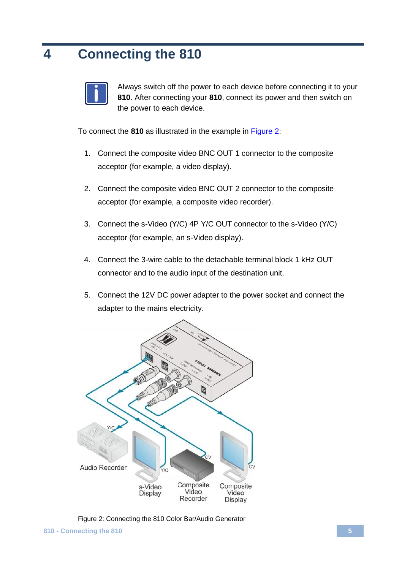## <span id="page-7-0"></span>**4 Connecting the 810**



Always switch off the power to each device before connecting it to your **810**. After connecting your **810**, connect its power and then switch on the power to each device.

To connect the **810** as illustrated in the example in [Figure 2:](#page-7-1)

- 1. Connect the composite video BNC OUT 1 connector to the composite acceptor (for example, a video display).
- 2. Connect the composite video BNC OUT 2 connector to the composite acceptor (for example, a composite video recorder).
- 3. Connect the s-Video (Y/C) 4P Y/C OUT connector to the s-Video (Y/C) acceptor (for example, an s-Video display).
- 4. Connect the 3-wire cable to the detachable terminal block 1 kHz OUT connector and to the audio input of the destination unit.
- 5. Connect the 12V DC power adapter to the power socket and connect the adapter to the mains electricity.



<span id="page-7-1"></span>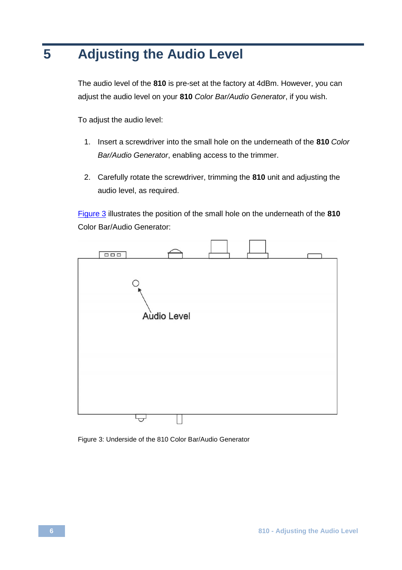# <span id="page-8-0"></span>**5 Adjusting the Audio Level**

The audio level of the **810** is pre-set at the factory at 4dBm. However, you can adjust the audio level on your **810** *Color Bar/Audio Generator*, if you wish.

To adjust the audio level:

- 1. Insert a screwdriver into the small hole on the underneath of the **810** *Color Bar/Audio Generator*, enabling access to the trimmer.
- 2. Carefully rotate the screwdriver, trimming the **810** unit and adjusting the audio level, as required.

[Figure 3](#page-8-1) illustrates the position of the small hole on the underneath of the **810** Color Bar/Audio Generator:



<span id="page-8-1"></span>Figure 3: Underside of the 810 Color Bar/Audio Generator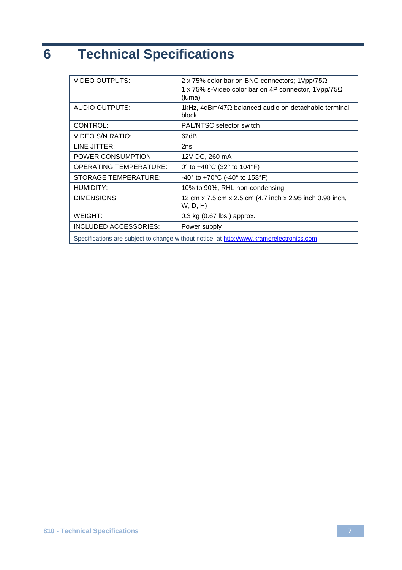# <span id="page-9-0"></span>**6 Technical Specifications**

| <b>VIDEO OUTPUTS:</b>                                                                   | 2 x 75% color bar on BNC connectors; 1 Vpp/75 $\Omega$<br>1 x 75% s-Video color bar on 4P connector, $1Vpp/75\Omega$<br>(luma) |  |
|-----------------------------------------------------------------------------------------|--------------------------------------------------------------------------------------------------------------------------------|--|
| AUDIO OUTPUTS:                                                                          | 1kHz, 4dBm/47Ω balanced audio on detachable terminal<br>block                                                                  |  |
| CONTROL:                                                                                | PAL/NTSC selector switch                                                                                                       |  |
| VIDEO S/N RATIO:                                                                        | 62dB                                                                                                                           |  |
| LINE JITTER:                                                                            | 2ns                                                                                                                            |  |
| POWER CONSUMPTION:                                                                      | 12V DC, 260 mA                                                                                                                 |  |
| <b>OPERATING TEMPERATURE:</b>                                                           | 0° to $+40^{\circ}$ C (32° to 104°F)                                                                                           |  |
| <b>STORAGE TEMPERATURE:</b>                                                             | -40 $^{\circ}$ to +70 $^{\circ}$ C (-40 $^{\circ}$ to 158 $^{\circ}$ F)                                                        |  |
| HUMIDITY:                                                                               | 10% to 90%, RHL non-condensing                                                                                                 |  |
| DIMENSIONS:                                                                             | 12 cm x 7.5 cm x 2.5 cm (4.7 inch x 2.95 inch 0.98 inch,<br>W, D, H)                                                           |  |
| WEIGHT:                                                                                 | $0.3$ kg (0.67 lbs.) approx.                                                                                                   |  |
| INCLUDED ACCESSORIES:                                                                   | Power supply                                                                                                                   |  |
| Specifications are subject to change without notice at http://www.kramerelectronics.com |                                                                                                                                |  |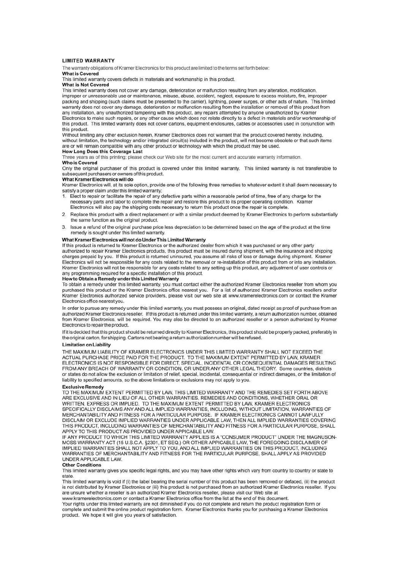#### **LIMITED WARRANTY**

The warranty obligations of Kramer Electronics for this product are limited to the terms set forth below:

#### What is Covered

This limited warranty covers defects in materials and workmanship in this product

#### What is Not Covered

This limited warranty does not cover any damage, deterioration or malfunction resulting from any alteration, modification. improper or unreasonable use or maintenance, misuse, abuse, accident, neglect, exposure to excess moisture, fire, improper packing and shipping (such claims must be presented to the carrier), lightning, power surges, or other acts of nature. This limited warranty does not cover any damage, deterioration or malfunction resulting from the installation or removal of this product from any installation, any unauthorized tampering with this product, any repairs attempted by anyone unauthorized by Kramer Electronics to make such repairs, or any other cause which does not relate directly to a defect in materials and/or workmanship of this product. This limited warranty does not cover cartons, equipment enclosures, cables or accessories used in conjunction with this product.

Without limiting any other exclusion herein, Kramer Electronics does not warrant that the product covered hereby, including, without limitation, the technology and/or integrated circuit(s) included in the product, will not become obsolete or that such items are or will remain compatible with any other product or technology with which the product may be used.

#### How Long Does this Coverage Last

Three years as of this printing; please check our Web site for the most current and accurate warranty information. Who is Covered

Only the original purchaser of this product is covered under this limited warranty. This limited warranty is not transferable to subsequent purchasers or owners of this product.

#### What Kramer Electronics will do

Kramer Electronics will, at its sole option, provide one of the following three remedies to whatever extent it shall deem necessary to satisfy a proper claim under this limited warranty:

- 1. Elect to repair or facilitate the repair of any defective parts within a reasonable period of time, free of any charge for the necessary parts and labor to complete the repair and restore this product to its proper operating condition. Kramer Electronics will also pay the shipping costs necessary to return this product once the repair is complete.
- 2. Replace this product with a direct replacement or with a similar product deemed by Kramer Electronics to perform substantially the same function as the original product
- 3. Issue a refund of the original purchase price less depreciation to be determined based on the age of the product at the time remedy is sought under this limited warranty.

#### What Kramer Electronics will not do Under This Limited Warranty

If this product is returned to Kramer Electronics or the authorized dealer from which it was purchased or any other party authorized to repair Kramer Electronics products, this product must be insured during shipment, with the insurance and shipping charges prepaid by you. If this product is returned uninsured, you assume all risks of loss or damage during shipment. Kram Electronics will not be responsible for any costs related to the removal or re-installation of this product from or into any installation. Kramer Electronics will not be responsible for any costs related to any setting up this product, any adjustment of user controls or any programming required for a specific installation of this product.

How to Obtain a Remedy under this Limited Warranty<br>To obtain a remedy under this limited warranty, you must contact either the authorized Kramer Electronics reseller from whom you purchased this product or the Kramer Electronics office nearest you. For a list of authorized Kramer Electronics resellers and/or Kramer Electronics authorized service providers, please visit our web site at www.kramerelectronics.com or contact the Kramer Electronics office nearest you

In order to pursue any remedy under this limited warranty, you must possess an original, dated receipt as proof of purchase from an authorized Kramer Electronics reseller. If this product is returned under this limited warranty, a return authorization number, obtained from Kramer Electronics, will be required. You may also be directed to an authorized reseller or a person authorized by Kramer Electronics to repair the product.

If it is decided that this product should be returned directly to Kramer Electronics, this product should be properly packed, preferably in the original carton, for shipping. Cartons not bearing a return authorization number will be refused.

#### **Limitation on Liability**

THE MAXIMUM LIABILITY OF KRAMER ELECTRONICS UNDER THIS LIMITED WARRANTY SHALL NOT EXCEED THE ACTUAL PURCHASE PRICE PAID FOR THE PRODUCT. TO THE MAXIMUM EXTENT PERMITTED BY LAW, KRAMER ELECTRONICS IS NOT RESPONSIBLE FOR DIRECT, SPECIAL, INCIDENTAL OR CONSEQUENTIAL DAMAGES RESULTING FROM ANY BREACH OF WARRANTY OR CONDITION, OR UNDER ANY OTHER LEGAL THEORY. Some countries, districts or states do not allow the exclusion or limitation of relief, special, incidental, consequential or indirect damages, or the limitation of liability to specified amounts, so the above limitations or exclusions may not apply to you.

#### **Exclusive Remedy**

TO THE MAXIMUM EXTENT PERMITTED BY LAW, THIS LIMITED WARRANTY AND THE REMEDIES SET FORTH ABOVE ARE EXCLUSIVE AND IN LIEU OF ALL OTHER WARRANTIES, REMEDIES AND CONDITIONS, WHETHER ORAL OR WRITTEN, EXPRESS OR IMPLIED. TO THE MAXIMUM EXTENT PERMITTED BY LAW, KRAMER ELECTRONICS SPECIFICALLY DISCLAIMS ANY AND ALL IMPLIED WARRANTIES, INCLUDING, WITHOUT LIMITATION, WARRANTIES OF MERCHANTABILITY AND FITNESS FOR A PARTICULAR PURPOSE. IF KRAMER ELECTRONICS CANNOT LAWFULLY DISCLAIM OR EXCLUDE IMPLIED WARRANTIES UNDER APPLICABLE LAW. THEN ALL IMPLIED WARRANTIES COVERING THIS PRODUCT. INCLUDING WARRANTIES OF MERCHANTABILITY AND FITNESS FOR A PARTICULAR PURPOSE. SHALL APPLY TO THIS PRODUCT AS PROVIDED UNDER APPICABLE LAW.

IF ANY PRODUCT TO WHICH THIS LIMITED WARRANTY APPLIES IS A "CONSUMER PRODUCT" UNDER THE MAGNUSON-MOSS WARRANTY ACT (15 U.S.C.A. §2301, ET SEQ.) OR OTHER APPICABLE LAW, THE FOREGOING DISCLAIMER OF IMPLIED WARRANTIES SHALL NOT APPLY TO YOU, AND ALL IMPLIED WARRANTIES ON THIS PRODUCT, INCLUDING WARRANTIES OF MERCHANTABILITY AND FITNESS FOR THE PARTICULAR PURPOSE, SHALL APPLY AS PROVIDED UNDER APPLICABLE LAW

#### **Other Conditions**

This limited warranty gives you specific legal rights, and you may have other rights which vary from country to country or state to state.

This limited warranty is void if (i) the label bearing the serial number of this product has been removed or defaced, (ii) the product is not distributed by Kramer Electronics or (iii) this product is not purchased from an authorized Kramer Electronics reseller. If you are unsure whether a reseller is an authorized Kramer Electronics reseller, please visit our Web site at

www.kramerelectronics.com or contact a Kramer Electronics office from the list at the end of this document. Your rights under this limited warranty are not diminished if you do not complete and return the product registration form or

complete and submit the online product registration form. Kramer Electronics thanks you for purchasing a Kramer Electronics product. We hope it will give you years of satisfaction.